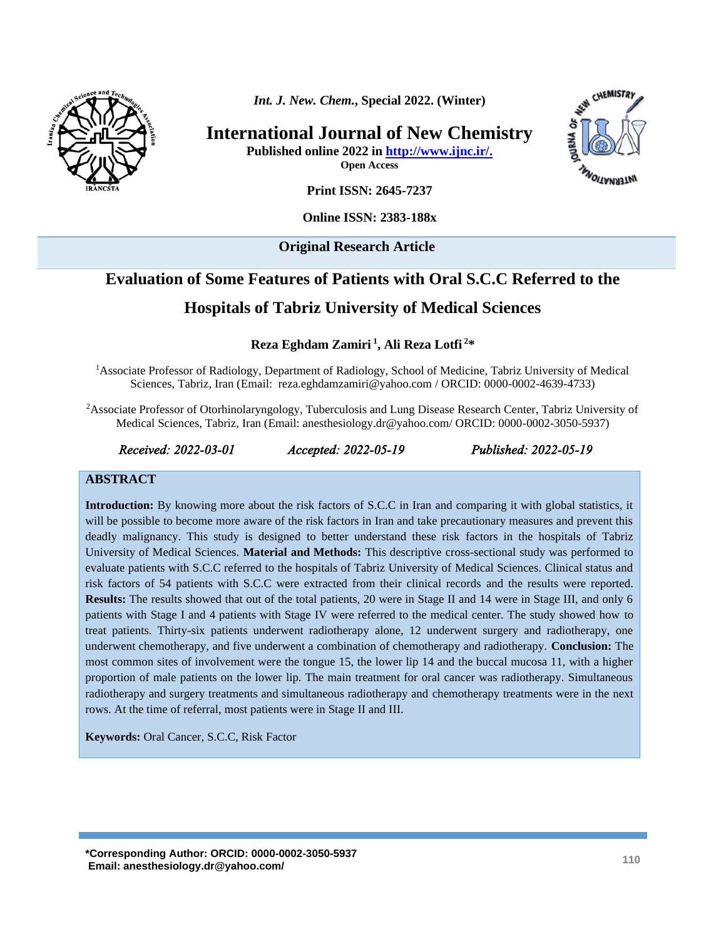

*Int. J. New. Chem.***, Special 2022. (Winter)**

**International Journal of New Chemistry**

**Published online 2022 in [http://www.ijnc.ir/.](http://www.ijnc.ir/)**

**Open Access**



**Print ISSN: 2645-7237**

**Online ISSN: 2383-188x** 

**Original Research Article** 

# **Evaluation of Some Features of Patients with Oral S.C.C Referred to the**

# **Hospitals of Tabriz University of Medical Sciences**

**Reza Eghdam Zamiri <sup>1</sup> , Ali Reza Lotfi <sup>2</sup>\***

<sup>1</sup>Associate Professor of Radiology, Department of Radiology, School of Medicine, Tabriz University of Medical Sciences, Tabriz, Iran (Email: [reza.eghdamzamiri@yahoo.com](mailto:reza.eghdamzamiri@yahoo.com) / ORCID: 0000-0002-4639-4733)

<sup>2</sup>Associate Professor of Otorhinolaryngology, Tuberculosis and Lung Disease Research Center, Tabriz University of Medical Sciences, Tabriz, Iran (Email: anesthesiology.dr@yahoo.com/ ORCID: 0000-0002-3050-5937)

*Received: 2022-03-01 Accepted: 2022-05-19 Published: 2022-05-19* 

#### **ABSTRACT**

**Introduction:** By knowing more about the risk factors of S.C.C in Iran and comparing it with global statistics, it will be possible to become more aware of the risk factors in Iran and take precautionary measures and prevent this deadly malignancy. This study is designed to better understand these risk factors in the hospitals of Tabriz University of Medical Sciences. **Material and Methods:** This descriptive cross-sectional study was performed to evaluate patients with S.C.C referred to the hospitals of Tabriz University of Medical Sciences. Clinical status and risk factors of 54 patients with S.C.C were extracted from their clinical records and the results were reported. **Results:** The results showed that out of the total patients, 20 were in Stage II and 14 were in Stage III, and only 6 patients with Stage I and 4 patients with Stage IV were referred to the medical center. The study showed how to treat patients. Thirty-six patients underwent radiotherapy alone, 12 underwent surgery and radiotherapy, one underwent chemotherapy, and five underwent a combination of chemotherapy and radiotherapy. **Conclusion:** The most common sites of involvement were the tongue 15, the lower lip 14 and the buccal mucosa 11, with a higher proportion of male patients on the lower lip. The main treatment for oral cancer was radiotherapy. Simultaneous radiotherapy and surgery treatments and simultaneous radiotherapy and chemotherapy treatments were in the next rows. At the time of referral, most patients were in Stage II and III.

**Keywords:** Oral Cancer, S.C.C, Risk Factor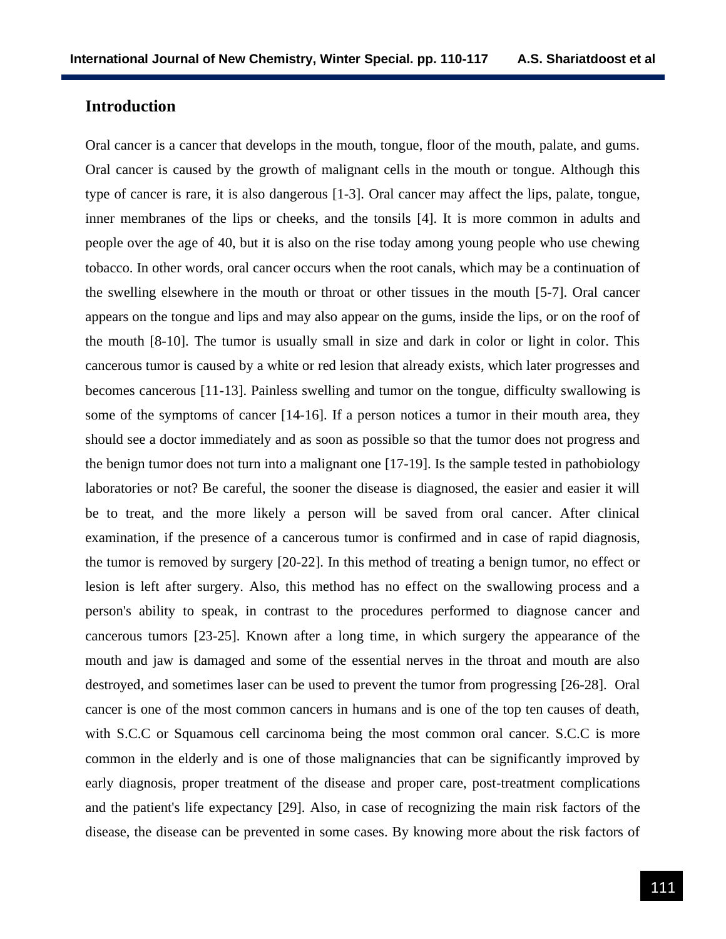### **Introduction**

Oral cancer is a cancer that develops in the mouth, tongue, floor of the mouth, palate, and gums. Oral cancer is caused by the growth of malignant cells in the mouth or tongue. Although this type of cancer is rare, it is also dangerous [1-3]. Oral cancer may affect the lips, palate, tongue, inner membranes of the lips or cheeks, and the tonsils [4]. It is more common in adults and people over the age of 40, but it is also on the rise today among young people who use chewing tobacco. In other words, oral cancer occurs when the root canals, which may be a continuation of the swelling elsewhere in the mouth or throat or other tissues in the mouth [5-7]. Oral cancer appears on the tongue and lips and may also appear on the gums, inside the lips, or on the roof of the mouth [8-10]. The tumor is usually small in size and dark in color or light in color. This cancerous tumor is caused by a white or red lesion that already exists, which later progresses and becomes cancerous [11-13]. Painless swelling and tumor on the tongue, difficulty swallowing is some of the symptoms of cancer [14-16]. If a person notices a tumor in their mouth area, they should see a doctor immediately and as soon as possible so that the tumor does not progress and the benign tumor does not turn into a malignant one [17-19]. Is the sample tested in pathobiology laboratories or not? Be careful, the sooner the disease is diagnosed, the easier and easier it will be to treat, and the more likely a person will be saved from oral cancer. After clinical examination, if the presence of a cancerous tumor is confirmed and in case of rapid diagnosis, the tumor is removed by surgery [20-22]. In this method of treating a benign tumor, no effect or lesion is left after surgery. Also, this method has no effect on the swallowing process and a person's ability to speak, in contrast to the procedures performed to diagnose cancer and cancerous tumors [23-25]. Known after a long time, in which surgery the appearance of the mouth and jaw is damaged and some of the essential nerves in the throat and mouth are also destroyed, and sometimes laser can be used to prevent the tumor from progressing [26-28]. Oral cancer is one of the most common cancers in humans and is one of the top ten causes of death, with S.C.C or Squamous cell carcinoma being the most common oral cancer. S.C.C is more common in the elderly and is one of those malignancies that can be significantly improved by early diagnosis, proper treatment of the disease and proper care, post-treatment complications and the patient's life expectancy [29]. Also, in case of recognizing the main risk factors of the disease, the disease can be prevented in some cases. By knowing more about the risk factors of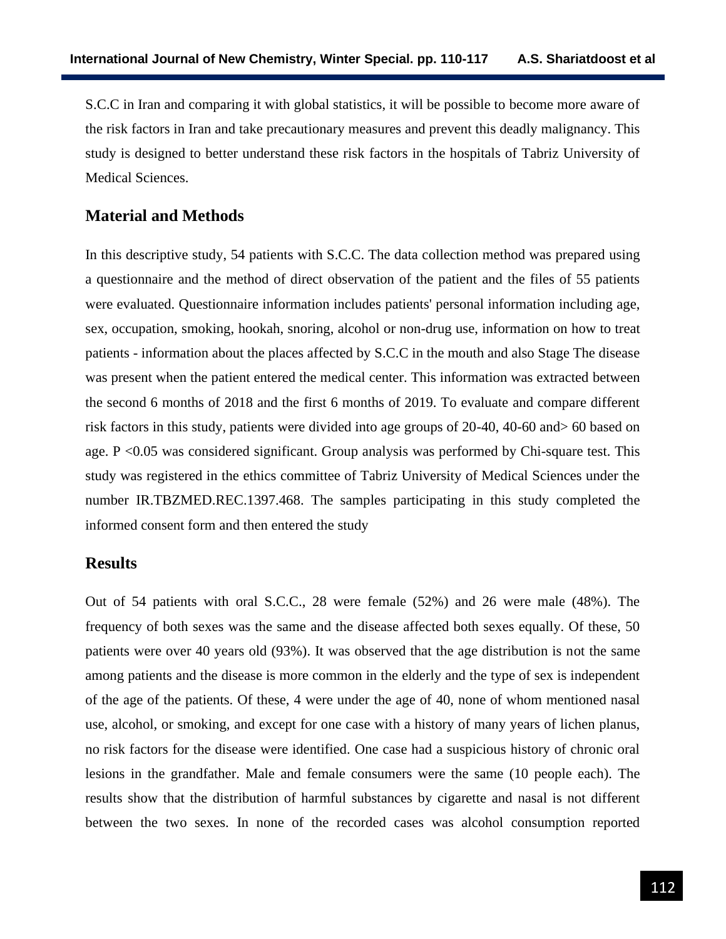S.C.C in Iran and comparing it with global statistics, it will be possible to become more aware of the risk factors in Iran and take precautionary measures and prevent this deadly malignancy. This study is designed to better understand these risk factors in the hospitals of Tabriz University of Medical Sciences.

### **Material and Methods**

In this descriptive study, 54 patients with S.C.C. The data collection method was prepared using a questionnaire and the method of direct observation of the patient and the files of 55 patients were evaluated. Questionnaire information includes patients' personal information including age, sex, occupation, smoking, hookah, snoring, alcohol or non-drug use, information on how to treat patients - information about the places affected by S.C.C in the mouth and also Stage The disease was present when the patient entered the medical center. This information was extracted between the second 6 months of 2018 and the first 6 months of 2019. To evaluate and compare different risk factors in this study, patients were divided into age groups of 20-40, 40-60 and> 60 based on age. P <0.05 was considered significant. Group analysis was performed by Chi-square test. This study was registered in the ethics committee of Tabriz University of Medical Sciences under the number [IR.TBZMED.REC.1397.468.](http://ethics.research.ac.ir/IR.TBZMED.REC.1397.468) The samples participating in this study completed the informed consent form and then entered the study

#### **Results**

Out of 54 patients with oral S.C.C., 28 were female (52%) and 26 were male (48%). The frequency of both sexes was the same and the disease affected both sexes equally. Of these, 50 patients were over 40 years old (93%). It was observed that the age distribution is not the same among patients and the disease is more common in the elderly and the type of sex is independent of the age of the patients. Of these, 4 were under the age of 40, none of whom mentioned nasal use, alcohol, or smoking, and except for one case with a history of many years of lichen planus, no risk factors for the disease were identified. One case had a suspicious history of chronic oral lesions in the grandfather. Male and female consumers were the same (10 people each). The results show that the distribution of harmful substances by cigarette and nasal is not different between the two sexes. In none of the recorded cases was alcohol consumption reported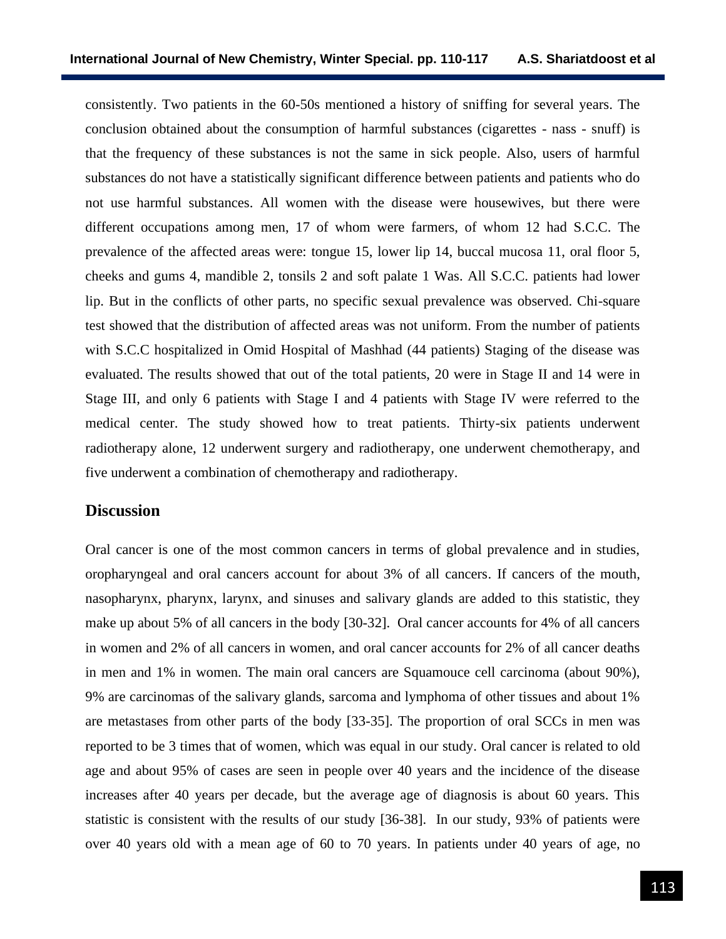consistently. Two patients in the 60-50s mentioned a history of sniffing for several years. The conclusion obtained about the consumption of harmful substances (cigarettes - nass - snuff) is that the frequency of these substances is not the same in sick people. Also, users of harmful substances do not have a statistically significant difference between patients and patients who do not use harmful substances. All women with the disease were housewives, but there were different occupations among men, 17 of whom were farmers, of whom 12 had S.C.C. The prevalence of the affected areas were: tongue 15, lower lip 14, buccal mucosa 11, oral floor 5, cheeks and gums 4, mandible 2, tonsils 2 and soft palate 1 Was. All S.C.C. patients had lower lip. But in the conflicts of other parts, no specific sexual prevalence was observed. Chi-square test showed that the distribution of affected areas was not uniform. From the number of patients with S.C.C hospitalized in Omid Hospital of Mashhad (44 patients) Staging of the disease was evaluated. The results showed that out of the total patients, 20 were in Stage II and 14 were in Stage III, and only 6 patients with Stage I and 4 patients with Stage IV were referred to the medical center. The study showed how to treat patients. Thirty-six patients underwent radiotherapy alone, 12 underwent surgery and radiotherapy, one underwent chemotherapy, and five underwent a combination of chemotherapy and radiotherapy.

#### **Discussion**

Oral cancer is one of the most common cancers in terms of global prevalence and in studies, oropharyngeal and oral cancers account for about 3% of all cancers. If cancers of the mouth, nasopharynx, pharynx, larynx, and sinuses and salivary glands are added to this statistic, they make up about 5% of all cancers in the body [30-32]. Oral cancer accounts for 4% of all cancers in women and 2% of all cancers in women, and oral cancer accounts for 2% of all cancer deaths in men and 1% in women. The main oral cancers are Squamouce cell carcinoma (about 90%), 9% are carcinomas of the salivary glands, sarcoma and lymphoma of other tissues and about 1% are metastases from other parts of the body [33-35]. The proportion of oral SCCs in men was reported to be 3 times that of women, which was equal in our study. Oral cancer is related to old age and about 95% of cases are seen in people over 40 years and the incidence of the disease increases after 40 years per decade, but the average age of diagnosis is about 60 years. This statistic is consistent with the results of our study [36-38]. In our study, 93% of patients were over 40 years old with a mean age of 60 to 70 years. In patients under 40 years of age, no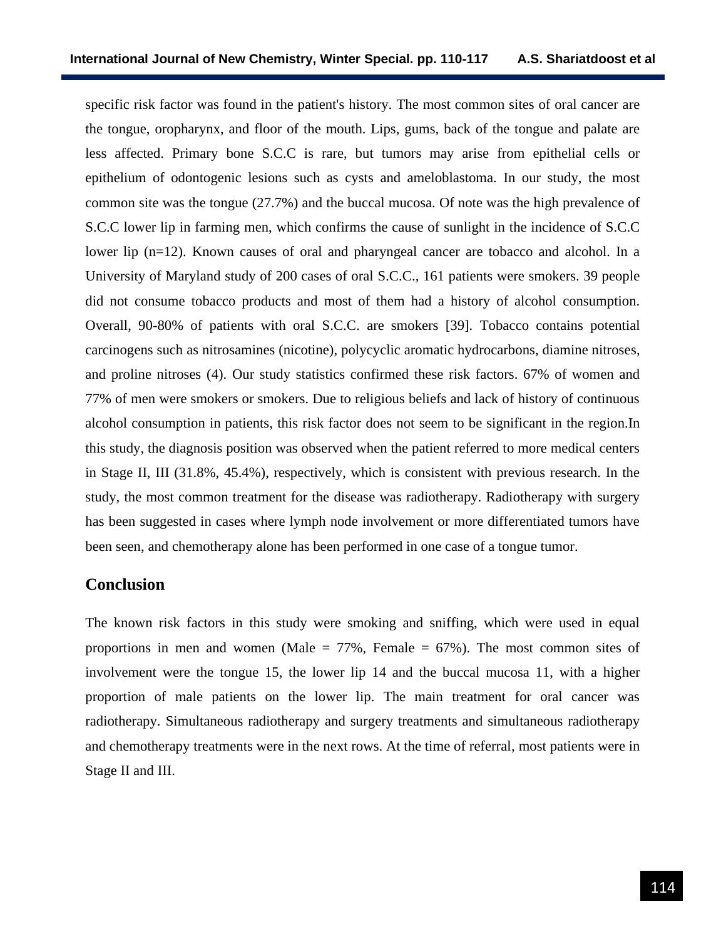specific risk factor was found in the patient's history. The most common sites of oral cancer are the tongue, oropharynx, and floor of the mouth. Lips, gums, back of the tongue and palate are less affected. Primary bone S.C.C is rare, but tumors may arise from epithelial cells or epithelium of odontogenic lesions such as cysts and ameloblastoma. In our study, the most common site was the tongue (27.7%) and the buccal mucosa. Of note was the high prevalence of S.C.C lower lip in farming men, which confirms the cause of sunlight in the incidence of S.C.C lower lip (n=12). Known causes of oral and pharyngeal cancer are tobacco and alcohol. In a University of Maryland study of 200 cases of oral S.C.C., 161 patients were smokers. 39 people did not consume tobacco products and most of them had a history of alcohol consumption. Overall, 90-80% of patients with oral S.C.C. are smokers [39]. Tobacco contains potential carcinogens such as nitrosamines (nicotine), polycyclic aromatic hydrocarbons, diamine nitroses, and proline nitroses (4). Our study statistics confirmed these risk factors. 67% of women and 77% of men were smokers or smokers. Due to religious beliefs and lack of history of continuous alcohol consumption in patients, this risk factor does not seem to be significant in the region.In this study, the diagnosis position was observed when the patient referred to more medical centers in Stage II, III (31.8%, 45.4%), respectively, which is consistent with previous research. In the study, the most common treatment for the disease was radiotherapy. Radiotherapy with surgery has been suggested in cases where lymph node involvement or more differentiated tumors have been seen, and chemotherapy alone has been performed in one case of a tongue tumor.

## **Conclusion**

The known risk factors in this study were smoking and sniffing, which were used in equal proportions in men and women (Male  $= 77\%$ , Female  $= 67\%$ ). The most common sites of involvement were the tongue 15, the lower lip 14 and the buccal mucosa 11, with a higher proportion of male patients on the lower lip. The main treatment for oral cancer was radiotherapy. Simultaneous radiotherapy and surgery treatments and simultaneous radiotherapy and chemotherapy treatments were in the next rows. At the time of referral, most patients were in Stage II and III.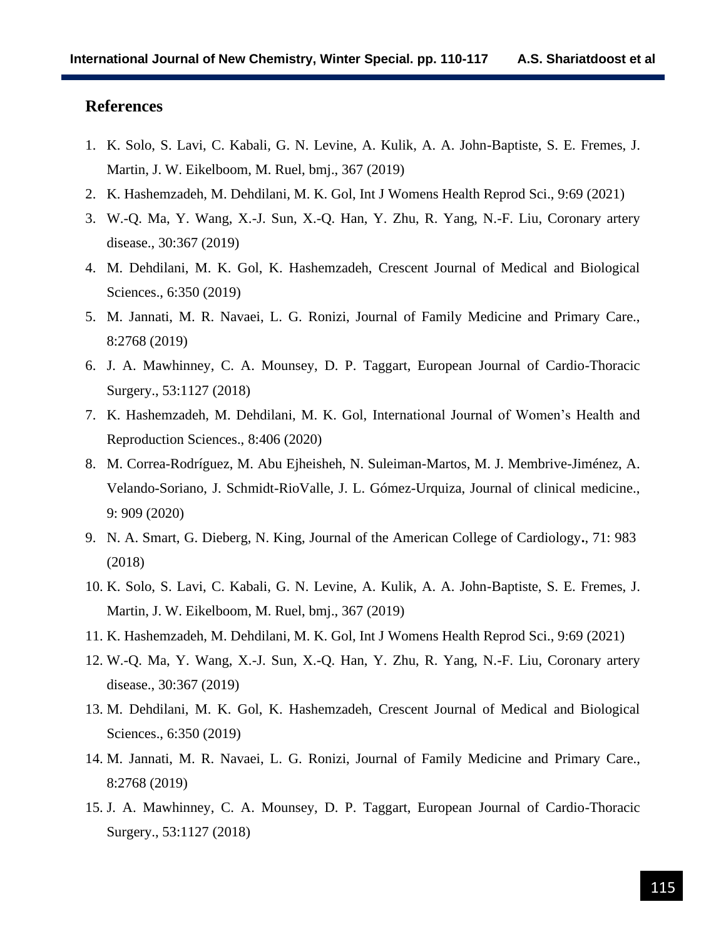# **References**

- 1. K. Solo, S. Lavi, C. Kabali, G. N. Levine, A. Kulik, A. A. John-Baptiste, S. E. Fremes, J. Martin, J. W. Eikelboom, M. Ruel, bmj., 367 (2019)
- 2. K. Hashemzadeh, M. Dehdilani, M. K. Gol, Int J Womens Health Reprod Sci., 9:69 (2021)
- 3. W.-Q. Ma, Y. Wang, X.-J. Sun, X.-Q. Han, Y. Zhu, R. Yang, N.-F. Liu, Coronary artery disease., 30:367 (2019)
- 4. M. Dehdilani, M. K. Gol, K. Hashemzadeh, Crescent Journal of Medical and Biological Sciences., 6:350 (2019)
- 5. M. Jannati, M. R. Navaei, L. G. Ronizi, Journal of Family Medicine and Primary Care., 8:2768 (2019)
- 6. J. A. Mawhinney, C. A. Mounsey, D. P. Taggart, European Journal of Cardio-Thoracic Surgery., 53:1127 (2018)
- 7. K. Hashemzadeh, M. Dehdilani, M. K. Gol, International Journal of Women's Health and Reproduction Sciences., 8:406 (2020)
- 8. M. Correa-Rodríguez, M. Abu Ejheisheh, N. Suleiman-Martos, M. J. Membrive-Jiménez, A. Velando-Soriano, J. Schmidt-RioValle, J. L. Gómez-Urquiza, Journal of clinical medicine., 9: 909 (2020)
- 9. N. A. Smart, G. Dieberg, N. King, Journal of the American College of Cardiology**.**, 71: 983 (2018)
- 10. K. Solo, S. Lavi, C. Kabali, G. N. Levine, A. Kulik, A. A. John-Baptiste, S. E. Fremes, J. Martin, J. W. Eikelboom, M. Ruel, bmj., 367 (2019)
- 11. K. Hashemzadeh, M. Dehdilani, M. K. Gol, Int J Womens Health Reprod Sci., 9:69 (2021)
- 12. W.-Q. Ma, Y. Wang, X.-J. Sun, X.-Q. Han, Y. Zhu, R. Yang, N.-F. Liu, Coronary artery disease., 30:367 (2019)
- 13. M. Dehdilani, M. K. Gol, K. Hashemzadeh, Crescent Journal of Medical and Biological Sciences., 6:350 (2019)
- 14. M. Jannati, M. R. Navaei, L. G. Ronizi, Journal of Family Medicine and Primary Care., 8:2768 (2019)
- 15. J. A. Mawhinney, C. A. Mounsey, D. P. Taggart, European Journal of Cardio-Thoracic Surgery., 53:1127 (2018)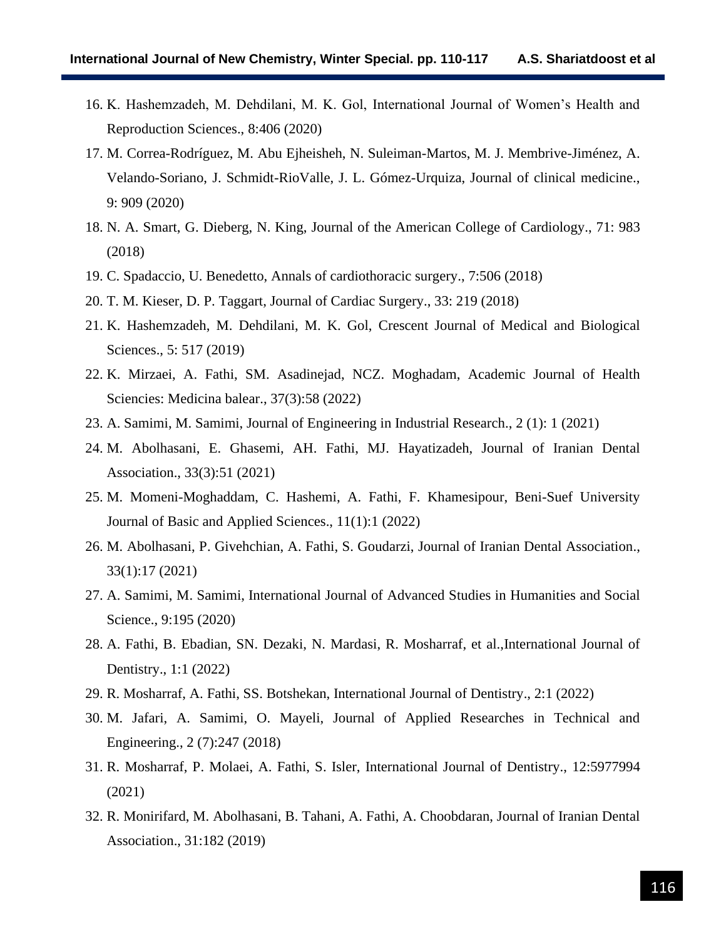- 16. K. Hashemzadeh, M. Dehdilani, M. K. Gol, International Journal of Women's Health and Reproduction Sciences., 8:406 (2020)
- 17. M. Correa-Rodríguez, M. Abu Ejheisheh, N. Suleiman-Martos, M. J. Membrive-Jiménez, A. Velando-Soriano, J. Schmidt-RioValle, J. L. Gómez-Urquiza, Journal of clinical medicine., 9: 909 (2020)
- 18. N. A. Smart, G. Dieberg, N. King, Journal of the American College of Cardiology., 71: 983 (2018)
- 19. C. Spadaccio, U. Benedetto, Annals of cardiothoracic surgery., 7:506 (2018)
- 20. T. M. Kieser, D. P. Taggart, Journal of Cardiac Surgery., 33: 219 (2018)
- 21. K. Hashemzadeh, M. Dehdilani, M. K. Gol, Crescent Journal of Medical and Biological Sciences., 5: 517 (2019)
- 22. K. Mirzaei, A. Fathi, SM. Asadinejad, NCZ. Moghadam, Academic Journal of Health Sciencies: Medicina balear., 37(3):58 (2022)
- 23. A. Samimi, M. Samimi, Journal of Engineering in Industrial Research., 2 (1): 1 (2021)
- 24. M. Abolhasani, E. Ghasemi, AH. Fathi, MJ. Hayatizadeh, Journal of Iranian Dental Association., 33(3):51 (2021)
- 25. M. Momeni-Moghaddam, C. Hashemi, A. Fathi, F. Khamesipour, Beni-Suef University Journal of Basic and Applied Sciences., 11(1):1 (2022)
- 26. M. Abolhasani, P. Givehchian, A. Fathi, S. Goudarzi, Journal of Iranian Dental Association., 33(1):17 (2021)
- 27. A. Samimi, M. Samimi, International Journal of Advanced Studies in Humanities and Social Science., 9:195 (2020)
- 28. A. Fathi, B. Ebadian, SN. Dezaki, N. Mardasi, R. Mosharraf, et al.,International Journal of Dentistry., 1:1 (2022)
- 29. R. Mosharraf, A. Fathi, SS. Botshekan, International Journal of Dentistry., 2:1 (2022)
- 30. M. Jafari, A. Samimi, O. Mayeli, Journal of Applied Researches in Technical and Engineering., 2 (7):247 (2018)
- 31. R. Mosharraf, P. Molaei, A. Fathi, S. Isler, International Journal of Dentistry., 12:5977994 (2021)
- 32. R. Monirifard, M. Abolhasani, B. Tahani, A. Fathi, A. Choobdaran, Journal of Iranian Dental Association., 31:182 (2019)